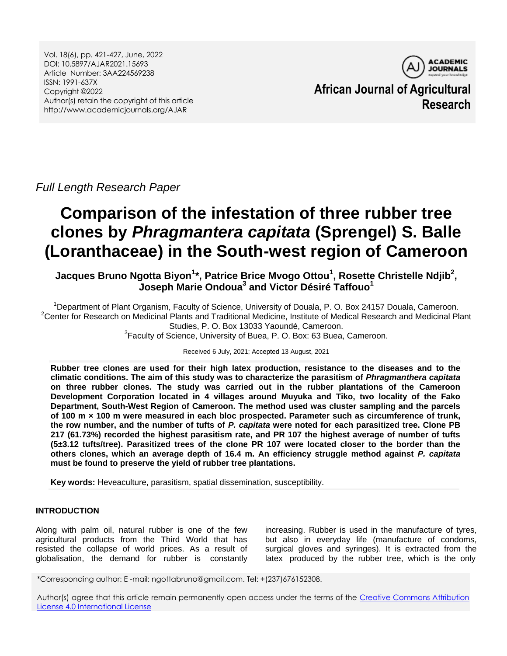Vol. 18(6), pp. 421-427, June, 2022 DOI: 10.5897/AJAR2021.15693 Article Number: 3AA224569238 ISSN: 1991-637X Copyright ©2022 Author(s) retain the copyright of this article http://www.academicjournals.org/AJAR



**African Journal of Agricultural Research**

*Full Length Research Paper*

# **Comparison of the infestation of three rubber tree clones by** *Phragmantera capitata* **(Sprengel) S. Balle (Loranthaceae) in the South-west region of Cameroon**

**Jacques Bruno Ngotta Biyon<sup>1</sup> \*, Patrice Brice Mvogo Ottou<sup>1</sup> , Rosette Christelle Ndjib<sup>2</sup> , Joseph Marie Ondoua<sup>3</sup> and Victor Désiré Taffouo<sup>1</sup>**

<sup>1</sup>Department of Plant Organism, Faculty of Science, University of Douala, P. O. Box 24157 Douala, Cameroon. <sup>2</sup>Center for Research on Medicinal Plants and Traditional Medicine, Institute of Medical Research and Medicinal Plant Studies, P. O. Box 13033 Yaoundé, Cameroon. <sup>3</sup> Faculty of Science, University of Buea, P. O. Box: 63 Buea, Cameroon.

Received 6 July, 2021; Accepted 13 August, 2021

**Rubber tree clones are used for their high latex production, resistance to the diseases and to the climatic conditions. The aim of this study was to characterize the parasitism of** *Phragmanthera capitata* **on three rubber clones. The study was carried out in the rubber plantations of the Cameroon Development Corporation located in 4 villages around Muyuka and Tiko, two locality of the Fako Department, South-West Region of Cameroon. The method used was cluster sampling and the parcels of 100 m × 100 m were measured in each bloc prospected. Parameter such as circumference of trunk, the row number, and the number of tufts of** *P. capitata* **were noted for each parasitized tree. Clone PB 217 (61.73%) recorded the highest parasitism rate, and PR 107 the highest average of number of tufts (5±3.12 tufts/tree). Parasitized trees of the clone PR 107 were located closer to the border than the others clones, which an average depth of 16.4 m. An efficiency struggle method against** *P. capitata* **must be found to preserve the yield of rubber tree plantations.**

**Key words:** Heveaculture, parasitism, spatial dissemination, susceptibility.

# **INTRODUCTION**

Along with palm oil, natural rubber is one of the few agricultural products from the Third World that has resisted the collapse of world prices. As a result of globalisation, the demand for rubber is constantly

increasing. Rubber is used in the manufacture of tyres, but also in everyday life (manufacture of condoms, surgical gloves and syringes). It is extracted from the latex produced by the rubber tree, which is the only

\*Corresponding author: E -mail: ngottabruno@gmail.com. Tel: +(237)676152308.

Author(s) agree that this article remain permanently open access under the terms of the [Creative Commons Attribution](http://creativecommons.org/licenses/by/4.0/deed.en_US)  [License 4.0 International License](http://creativecommons.org/licenses/by/4.0/deed.en_US)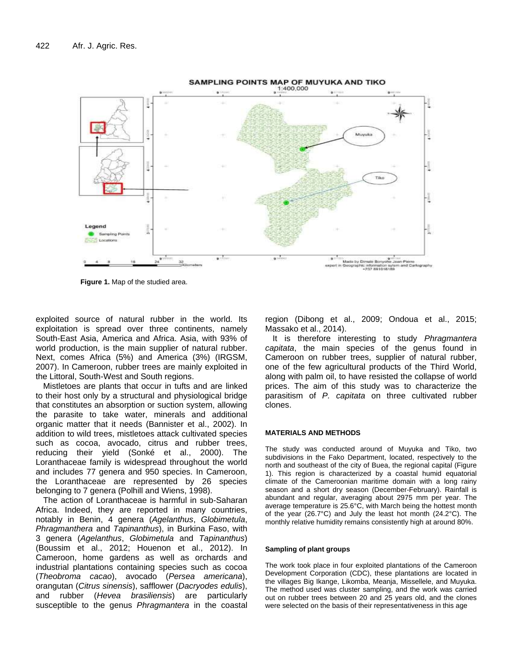

**Figure 1.** Map of the studied area.

exploited source of natural rubber in the world. Its exploitation is spread over three continents, namely South-East Asia, America and Africa. Asia, with 93% of world production, is the main supplier of natural rubber. Next, comes Africa (5%) and America (3%) (IRGSM, 2007). In Cameroon, rubber trees are mainly exploited in the Littoral, South-West and South regions.

Mistletoes are plants that occur in tufts and are linked to their host only by a structural and physiological bridge that constitutes an absorption or suction system, allowing the parasite to take water, minerals and additional organic matter that it needs (Bannister et al., 2002). In addition to wild trees, mistletoes attack cultivated species such as cocoa, avocado, citrus and rubber trees, reducing their yield (Sonké et al., 2000). The Loranthaceae family is widespread throughout the world and includes 77 genera and 950 species. In Cameroon, the Loranthaceae are represented by 26 species belonging to 7 genera (Polhill and Wiens, 1998).

The action of Loranthaceae is harmful in sub-Saharan Africa. Indeed, they are reported in many countries, notably in Benin, 4 genera (*Agelanthus*, *Globimetula*, *Phragmanthera* and *Tapinanthus*), in Burkina Faso, with 3 genera (*Agelanthus*, *Globimetula* and *Tapinanthus*) (Boussim et al., 2012; Houenon et al., 2012). In Cameroon, home gardens as well as orchards and industrial plantations containing species such as cocoa (*Theobroma cacao*), avocado (*Persea americana*), orangutan (*Citrus sinensis*), safflower (*Dacryodes edulis*), and rubber (*Hevea brasiliensis*) are particularly susceptible to the genus *Phragmantera* in the coastal region (Dibong et al., 2009; Ondoua et al., 2015; Massako et al., 2014).

It is therefore interesting to study *Phragmantera capitata*, the main species of the genus found in Cameroon on rubber trees, supplier of natural rubber, one of the few agricultural products of the Third World, along with palm oil, to have resisted the collapse of world prices. The aim of this study was to characterize the parasitism of *P. capitata* on three cultivated rubber clones.

### **MATERIALS AND METHODS**

The study was conducted around of Muyuka and Tiko, two subdivisions in the Fako Department, located, respectively to the north and southeast of the city of Buea, the regional capital (Figure 1). This region is characterized by a coastal humid equatorial climate of the Cameroonian maritime domain with a long rainy season and a short dry season (December-February). Rainfall is abundant and regular, averaging about 2975 mm per year. The average temperature is 25.6°C, with March being the hottest month of the year (26.7°C) and July the least hot month (24.2°C). The monthly relative humidity remains consistently high at around 80%.

#### **Sampling of plant groups**

The work took place in four exploited plantations of the Cameroon Development Corporation (CDC), these plantations are located in the villages Big Ikange, Likomba, Meanja, Missellele, and Muyuka. The method used was cluster sampling, and the work was carried out on rubber trees between 20 and 25 years old, and the clones were selected on the basis of their representativeness in this age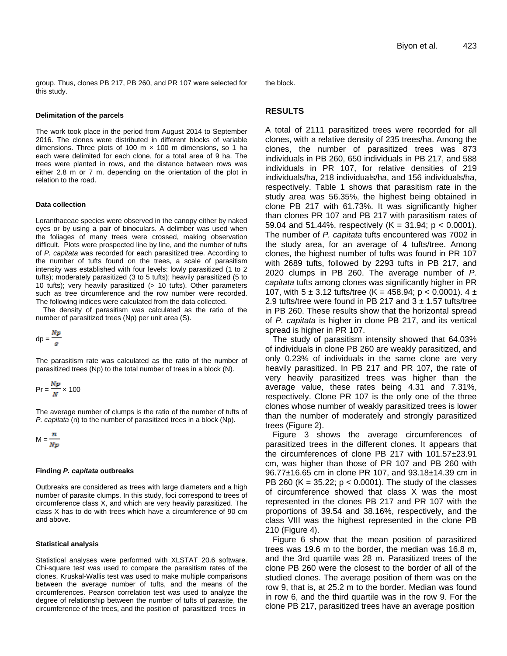group. Thus, clones PB 217, PB 260, and PR 107 were selected for this study.

#### **Delimitation of the parcels**

The work took place in the period from August 2014 to September 2016. The clones were distributed in different blocks of variable dimensions. Three plots of 100 m  $\times$  100 m dimensions, so 1 ha each were delimited for each clone, for a total area of 9 ha. The trees were planted in rows, and the distance between rows was either 2.8 m or 7 m, depending on the orientation of the plot in relation to the road.

#### **Data collection**

Loranthaceae species were observed in the canopy either by naked eyes or by using a pair of binoculars. A delimber was used when the foliages of many trees were crossed, making observation difficult. Plots were prospected line by line, and the number of tufts of *P. capitata* was recorded for each parasitized tree. According to the number of tufts found on the trees, a scale of parasitism intensity was established with four levels: lowly parasitized (1 to 2 tufts); moderately parasitized (3 to 5 tufts); heavily parasitized (5 to 10 tufts); very heavily parasitized (> 10 tufts). Other parameters such as tree circumference and the row number were recorded. The following indices were calculated from the data collected.

The density of parasitism was calculated as the ratio of the number of parasitized trees (Np) per unit area (S).

$$
dp = \frac{Np}{s}
$$

The parasitism rate was calculated as the ratio of the number of parasitized trees (Np) to the total number of trees in a block (N).

$$
Pr = \frac{Np}{N} \times 100
$$

The average number of clumps is the ratio of the number of tufts of *P. capitata* (n) to the number of parasitized trees in a block (Np).

 $M = \frac{N}{Np}$ 

#### **Finding** *P. capitata* **outbreaks**

Outbreaks are considered as trees with large diameters and a high number of parasite clumps. In this study, foci correspond to trees of circumference class X, and which are very heavily parasitized. The class X has to do with trees which have a circumference of 90 cm and above.

#### **Statistical analysis**

Statistical analyses were performed with XLSTAT 20.6 software. Chi-square test was used to compare the parasitism rates of the clones, Kruskal-Wallis test was used to make multiple comparisons between the average number of tufts, and the means of the circumferences. Pearson correlation test was used to analyze the degree of relationship between the number of tufts of parasite, the circumference of the trees, and the position of parasitized trees in

the block.

## **RESULTS**

A total of 2111 parasitized trees were recorded for all clones, with a relative density of 235 trees/ha. Among the clones, the number of parasitized trees was 873 individuals in PB 260, 650 individuals in PB 217, and 588 individuals in PR 107, for relative densities of 219 individuals/ha, 218 individuals/ha, and 156 individuals/ha, respectively. Table 1 shows that parasitism rate in the study area was 56.35%, the highest being obtained in clone PB 217 with 61.73%. It was significantly higher than clones PR 107 and PB 217 with parasitism rates of 59.04 and 51.44%, respectively  $(K = 31.94; p < 0.0001)$ . The number of *P. capitata* tufts encountered was 7002 in the study area, for an average of 4 tufts/tree. Among clones, the highest number of tufts was found in PR 107 with 2689 tufts, followed by 2293 tufts in PB 217, and 2020 clumps in PB 260. The average number of *P. capitata* tufts among clones was significantly higher in PR 107, with  $5 \pm 3.12$  tufts/tree (K = 458.94; p < 0.0001).  $4 \pm 1$ 2.9 tufts/tree were found in PB 217 and  $3 \pm 1.57$  tufts/tree in PB 260. These results show that the horizontal spread of *P. capitata* is higher in clone PB 217, and its vertical spread is higher in PR 107.

The study of parasitism intensity showed that 64.03% of individuals in clone PB 260 are weakly parasitized, and only 0.23% of individuals in the same clone are very heavily parasitized. In PB 217 and PR 107, the rate of very heavily parasitized trees was higher than the average value, these rates being 4.31 and 7.31%, respectively. Clone PR 107 is the only one of the three clones whose number of weakly parasitized trees is lower than the number of moderately and strongly parasitized trees (Figure 2).

Figure 3 shows the average circumferences of parasitized trees in the different clones. It appears that the circumferences of clone PB 217 with 101.57±23.91 cm, was higher than those of PR 107 and PB 260 with 96.77±16.65 cm in clone PR 107, and 93.18±14.39 cm in PB 260 (K = 35.22;  $p < 0.0001$ ). The study of the classes of circumference showed that class X was the most represented in the clones PB 217 and PR 107 with the proportions of 39.54 and 38.16%, respectively, and the class VIII was the highest represented in the clone PB 210 (Figure 4).

Figure 6 show that the mean position of parasitized trees was 19.6 m to the border, the median was 16.8 m, and the 3rd quartile was 28 m. Parasitized trees of the clone PB 260 were the closest to the border of all of the studied clones. The average position of them was on the row 9, that is, at 25.2 m to the border. Median was found in row 6, and the third quartile was in the row 9. For the clone PB 217, parasitized trees have an average position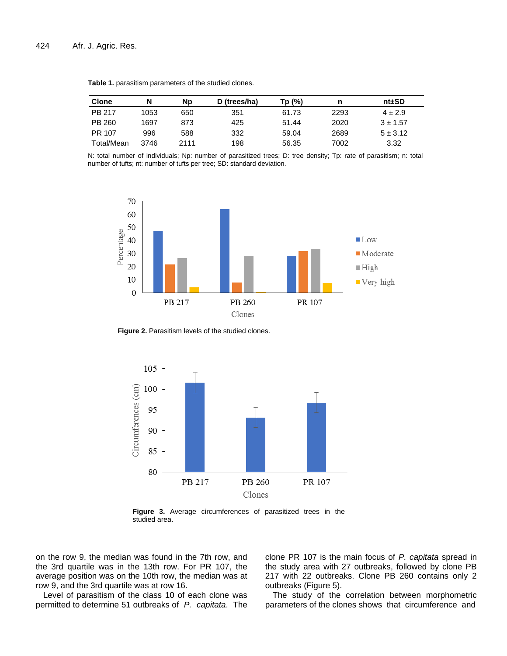| <b>Clone</b> | N    | <b>Np</b> | D (trees/ha) | Tp (%) | n    | nt±SD        |
|--------------|------|-----------|--------------|--------|------|--------------|
| PB 217       | 1053 | 650       | 351          | 61.73  | 2293 | $4 \pm 2.9$  |
| PB 260       | 1697 | 873       | 425          | 51.44  | 2020 | $3 + 1.57$   |
| PR 107       | 996  | 588       | 332          | 59.04  | 2689 | $5 \pm 3.12$ |
| Total/Mean   | 3746 | 2111      | 198          | 56.35  | 7002 | 3.32         |

**Table 1.** parasitism parameters of the studied clones.

N: total number of individuals; Np: number of parasitized trees; D: tree density; Tp: rate of parasitism; n: total number of tufts; nt: number of tufts per tree; SD: standard deviation.



**Figure 2.** Parasitism levels of the studied clones.



**Figure 3.** Average circumferences of parasitized trees in the studied area.

on the row 9, the median was found in the 7th row, and the 3rd quartile was in the 13th row. For PR 107, the average position was on the 10th row, the median was at row 9, and the 3rd quartile was at row 16.

Level of parasitism of the class 10 of each clone was permitted to determine 51 outbreaks of *P. capitata*. The clone PR 107 is the main focus of *P. capitata* spread in the study area with 27 outbreaks, followed by clone PB 217 with 22 outbreaks. Clone PB 260 contains only 2 outbreaks (Figure 5).

The study of the correlation between morphometric parameters of the clones shows that circumference and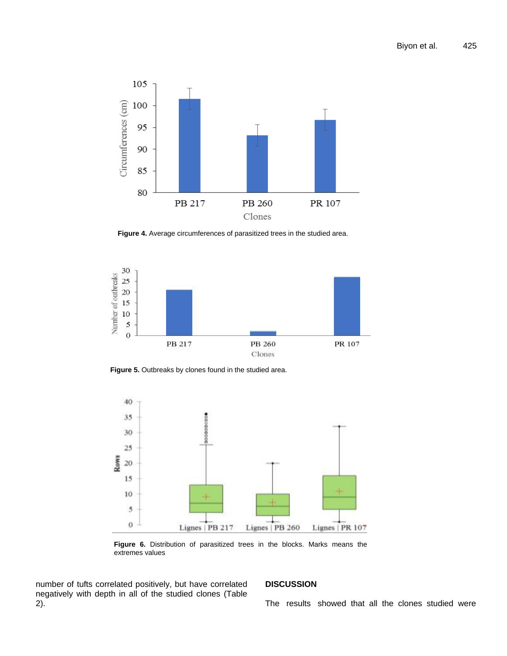

**Figure 4.** Average circumferences of parasitized trees in the studied area.



**Figure 5.** Outbreaks by clones found in the studied area.



**Figure 6.** Distribution of parasitized trees in the blocks. Marks means the extremes values

number of tufts correlated positively, but have correlated negatively with depth in all of the studied clones (Table 2).

# **DISCUSSION**

The results showed that all the clones studied were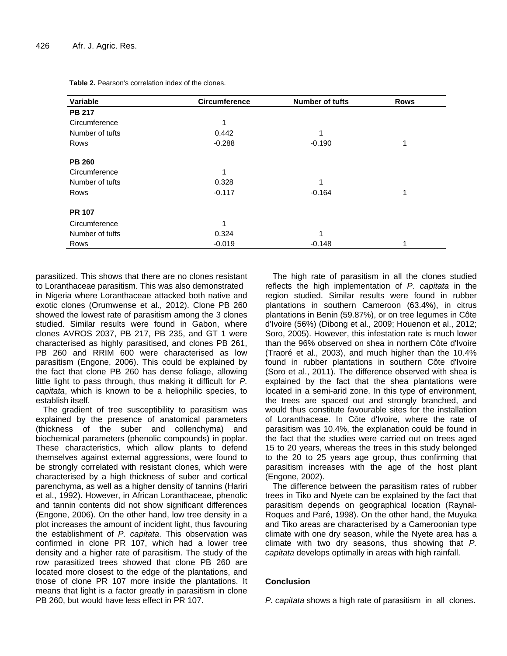| Variable        | <b>Circumference</b> | <b>Number of tufts</b> | <b>Rows</b> |
|-----------------|----------------------|------------------------|-------------|
| <b>PB 217</b>   |                      |                        |             |
| Circumference   | 1                    |                        |             |
| Number of tufts | 0.442                |                        |             |
| Rows            | $-0.288$             | $-0.190$               | 1           |
| <b>PB 260</b>   |                      |                        |             |
| Circumference   | 1                    |                        |             |
| Number of tufts | 0.328                | 1                      |             |
| Rows            | $-0.117$             | $-0.164$               | 1           |
| <b>PR 107</b>   |                      |                        |             |
| Circumference   | 1                    |                        |             |
| Number of tufts | 0.324                | 4                      |             |
| Rows            | $-0.019$             | $-0.148$               | 1           |

**Table 2.** Pearson's correlation index of the clones.

parasitized. This shows that there are no clones resistant to Loranthaceae parasitism. This was also demonstrated in Nigeria where Loranthaceae attacked both native and exotic clones (Orumwense et al., 2012). Clone PB 260 showed the lowest rate of parasitism among the 3 clones studied. Similar results were found in Gabon, where clones AVROS 2037, PB 217, PB 235, and GT 1 were characterised as highly parasitised, and clones PB 261, PB 260 and RRIM 600 were characterised as low parasitism (Engone, 2006). This could be explained by the fact that clone PB 260 has dense foliage, allowing little light to pass through, thus making it difficult for *P. capitata*, which is known to be a heliophilic species, to establish itself.

The gradient of tree susceptibility to parasitism was explained by the presence of anatomical parameters (thickness of the suber and collenchyma) and biochemical parameters (phenolic compounds) in poplar. These characteristics, which allow plants to defend themselves against external aggressions, were found to be strongly correlated with resistant clones, which were characterised by a high thickness of suber and cortical parenchyma, as well as a higher density of tannins (Hariri et al., 1992). However, in African Loranthaceae, phenolic and tannin contents did not show significant differences (Engone, 2006). On the other hand, low tree density in a plot increases the amount of incident light, thus favouring the establishment of *P. capitata*. This observation was confirmed in clone PR 107, which had a lower tree density and a higher rate of parasitism. The study of the row parasitized trees showed that clone PB 260 are located more closest to the edge of the plantations, and those of clone PR 107 more inside the plantations. It means that light is a factor greatly in parasitism in clone PB 260, but would have less effect in PR 107.

The high rate of parasitism in all the clones studied reflects the high implementation of *P. capitata* in the region studied. Similar results were found in rubber plantations in southern Cameroon (63.4%), in citrus plantations in Benin (59.87%), or on tree legumes in Côte d'Ivoire (56%) (Dibong et al., 2009; Houenon et al., 2012; Soro, 2005). However, this infestation rate is much lower than the 96% observed on shea in northern Côte d'Ivoire (Traoré et al., 2003), and much higher than the 10.4% found in rubber plantations in southern Côte d'Ivoire (Soro et al., 2011). The difference observed with shea is explained by the fact that the shea plantations were located in a semi-arid zone. In this type of environment, the trees are spaced out and strongly branched, and would thus constitute favourable sites for the installation of Loranthaceae. In Côte d'Ivoire, where the rate of parasitism was 10.4%, the explanation could be found in the fact that the studies were carried out on trees aged 15 to 20 years, whereas the trees in this study belonged to the 20 to 25 years age group, thus confirming that parasitism increases with the age of the host plant (Engone, 2002).

The difference between the parasitism rates of rubber trees in Tiko and Nyete can be explained by the fact that parasitism depends on geographical location (Raynal-Roques and Paré, 1998). On the other hand, the Muyuka and Tiko areas are characterised by a Cameroonian type climate with one dry season, while the Nyete area has a climate with two dry seasons, thus showing that *P. capitata* develops optimally in areas with high rainfall.

## **Conclusion**

*P. capitata* shows a high rate of parasitism in all clones.